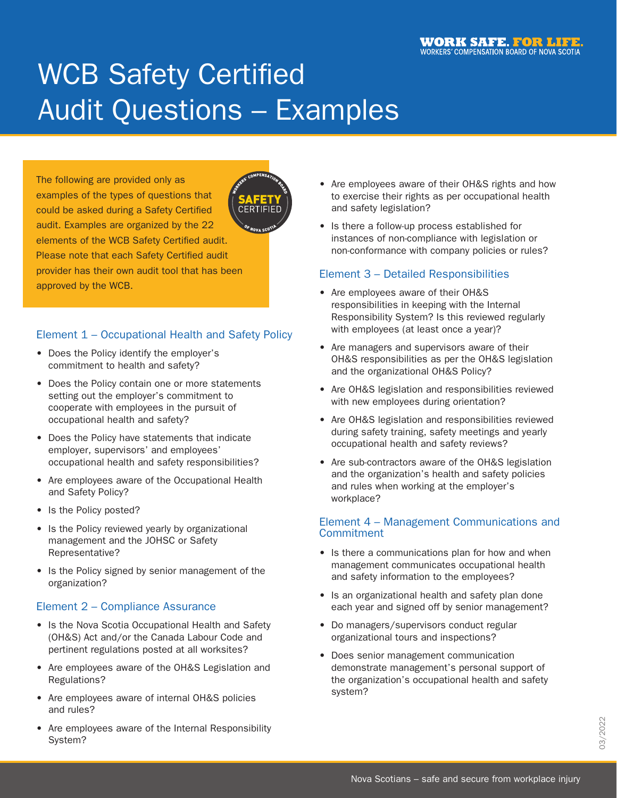# WCB Safety Certified Audit Questions – Examples

The following are provided only as examples of the types of questions that could be asked during a Safety Certified audit. Examples are organized by the 22 elements of the WCB Safety Certified audit. Please note that each Safety Certified audit provider has their own audit tool that has been approved by the WCB.

## Element 1 – Occupational Health and Safety Policy

- Does the Policy identify the employer's commitment to health and safety?
- Does the Policy contain one or more statements setting out the employer's commitment to cooperate with employees in the pursuit of occupational health and safety?
- Does the Policy have statements that indicate employer, supervisors' and employees' occupational health and safety responsibilities?
- Are employees aware of the Occupational Health and Safety Policy?
- Is the Policy posted?
- Is the Policy reviewed yearly by organizational management and the JOHSC or Safety Representative?
- Is the Policy signed by senior management of the organization?

# Element 2 – Compliance Assurance

- Is the Nova Scotia Occupational Health and Safety (OH&S) Act and/or the Canada Labour Code and pertinent regulations posted at all worksites?
- Are employees aware of the OH&S Legislation and Regulations?
- Are employees aware of internal OH&S policies and rules?
- Are employees aware of the Internal Responsibility System?
- Are employees aware of their OH&S rights and how to exercise their rights as per occupational health and safety legislation?
- Is there a follow-up process established for instances of non-compliance with legislation or non-conformance with company policies or rules?

## Element 3 – Detailed Responsibilities

- Are employees aware of their OH&S responsibilities in keeping with the Internal Responsibility System? Is this reviewed regularly with employees (at least once a year)?
- Are managers and supervisors aware of their OH&S responsibilities as per the OH&S legislation and the organizational OH&S Policy?
- Are OH&S legislation and responsibilities reviewed with new employees during orientation?
- Are OH&S legislation and responsibilities reviewed during safety training, safety meetings and yearly occupational health and safety reviews?
- Are sub-contractors aware of the OH&S legislation and the organization's health and safety policies and rules when working at the employer's workplace?

## Element 4 – Management Communications and **Commitment**

- Is there a communications plan for how and when management communicates occupational health and safety information to the employees?
- Is an organizational health and safety plan done each year and signed off by senior management?
- Do managers/supervisors conduct regular organizational tours and inspections?
- Does senior management communication demonstrate management's personal support of the organization's occupational health and safety system?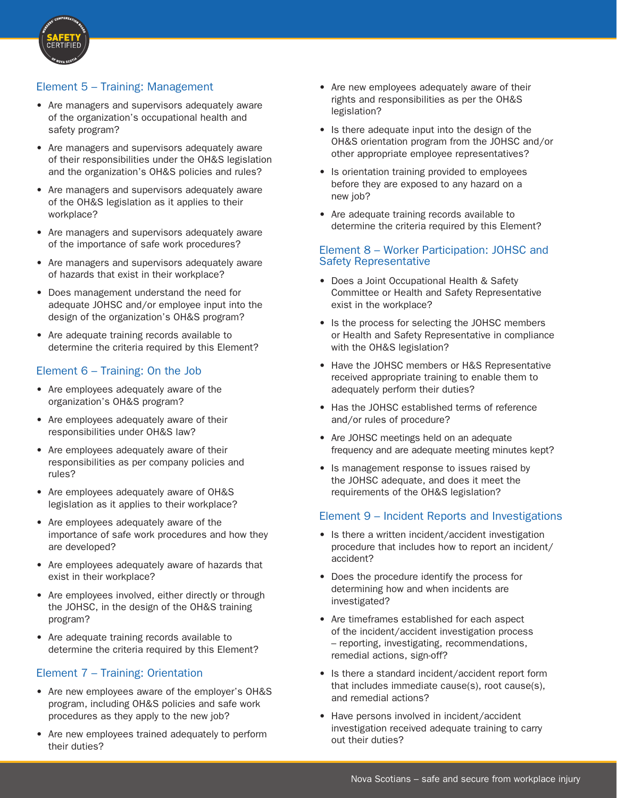

## Element 5 – Training: Management

- Are managers and supervisors adequately aware of the organization's occupational health and safety program?
- Are managers and supervisors adequately aware of their responsibilities under the OH&S legislation and the organization's OH&S policies and rules?
- Are managers and supervisors adequately aware of the OH&S legislation as it applies to their workplace?
- Are managers and supervisors adequately aware of the importance of safe work procedures?
- Are managers and supervisors adequately aware of hazards that exist in their workplace?
- Does management understand the need for adequate JOHSC and/or employee input into the design of the organization's OH&S program?
- Are adequate training records available to determine the criteria required by this Element?

#### Element 6 – Training: On the Job

- Are employees adequately aware of the organization's OH&S program?
- Are employees adequately aware of their responsibilities under OH&S law?
- Are employees adequately aware of their responsibilities as per company policies and rules?
- Are employees adequately aware of OH&S legislation as it applies to their workplace?
- Are employees adequately aware of the importance of safe work procedures and how they are developed?
- Are employees adequately aware of hazards that exist in their workplace?
- Are employees involved, either directly or through the JOHSC, in the design of the OH&S training program?
- Are adequate training records available to determine the criteria required by this Element?

## Element 7 – Training: Orientation

- Are new employees aware of the employer's OH&S program, including OH&S policies and safe work procedures as they apply to the new job?
- Are new employees trained adequately to perform their duties?
- Are new employees adequately aware of their rights and responsibilities as per the OH&S legislation?
- Is there adequate input into the design of the OH&S orientation program from the JOHSC and/or other appropriate employee representatives?
- Is orientation training provided to employees before they are exposed to any hazard on a new job?
- Are adequate training records available to determine the criteria required by this Element?

#### Element 8 – Worker Participation: JOHSC and Safety Representative

- Does a Joint Occupational Health & Safety Committee or Health and Safety Representative exist in the workplace?
- Is the process for selecting the JOHSC members or Health and Safety Representative in compliance with the OH&S legislation?
- Have the JOHSC members or H&S Representative received appropriate training to enable them to adequately perform their duties?
- Has the JOHSC established terms of reference and/or rules of procedure?
- Are JOHSC meetings held on an adequate frequency and are adequate meeting minutes kept?
- Is management response to issues raised by the JOHSC adequate, and does it meet the requirements of the OH&S legislation?

#### Element 9 – Incident Reports and Investigations

- Is there a written incident/accident investigation procedure that includes how to report an incident/ accident?
- Does the procedure identify the process for determining how and when incidents are investigated?
- Are timeframes established for each aspect of the incident/accident investigation process – reporting, investigating, recommendations, remedial actions, sign-off?
- Is there a standard incident/accident report form that includes immediate cause(s), root cause(s), and remedial actions?
- Have persons involved in incident/accident investigation received adequate training to carry out their duties?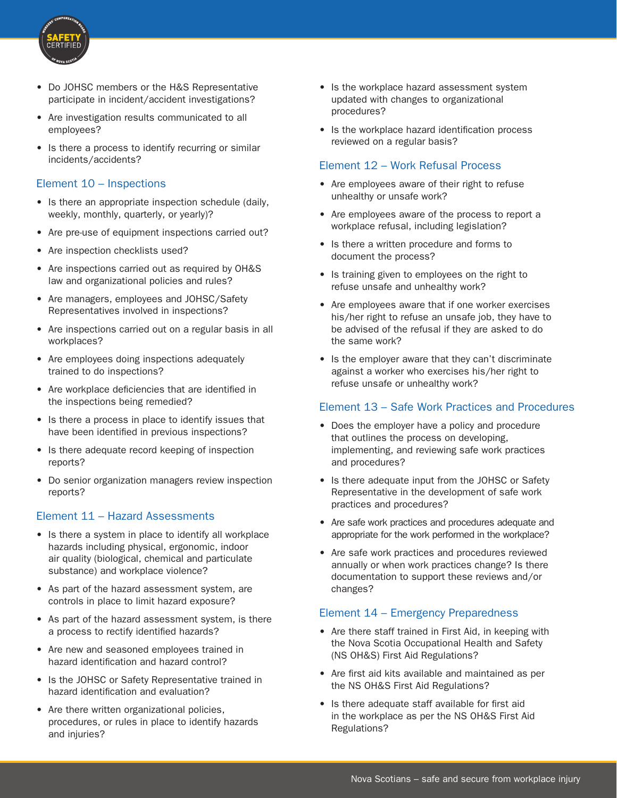

- Do JOHSC members or the H&S Representative participate in incident/accident investigations?
- Are investigation results communicated to all employees?
- Is there a process to identify recurring or similar incidents/accidents?

#### Element 10 – Inspections

- Is there an appropriate inspection schedule (daily, weekly, monthly, quarterly, or yearly)?
- Are pre-use of equipment inspections carried out?
- Are inspection checklists used?
- Are inspections carried out as required by OH&S law and organizational policies and rules?
- Are managers, employees and JOHSC/Safety Representatives involved in inspections?
- Are inspections carried out on a regular basis in all workplaces?
- Are employees doing inspections adequately trained to do inspections?
- Are workplace deficiencies that are identified in the inspections being remedied?
- Is there a process in place to identify issues that have been identified in previous inspections?
- Is there adequate record keeping of inspection reports?
- Do senior organization managers review inspection reports?

#### Element 11 – Hazard Assessments

- Is there a system in place to identify all workplace hazards including physical, ergonomic, indoor air quality (biological, chemical and particulate substance) and workplace violence?
- As part of the hazard assessment system, are controls in place to limit hazard exposure?
- As part of the hazard assessment system, is there a process to rectify identified hazards?
- Are new and seasoned employees trained in hazard identification and hazard control?
- Is the JOHSC or Safety Representative trained in hazard identification and evaluation?
- Are there written organizational policies, procedures, or rules in place to identify hazards and injuries?
- Is the workplace hazard assessment system updated with changes to organizational procedures?
- Is the workplace hazard identification process reviewed on a regular basis?

#### Element 12 – Work Refusal Process

- Are employees aware of their right to refuse unhealthy or unsafe work?
- Are employees aware of the process to report a workplace refusal, including legislation?
- Is there a written procedure and forms to document the process?
- Is training given to employees on the right to refuse unsafe and unhealthy work?
- Are employees aware that if one worker exercises his/her right to refuse an unsafe job, they have to be advised of the refusal if they are asked to do the same work?
- Is the employer aware that they can't discriminate against a worker who exercises his/her right to refuse unsafe or unhealthy work?

#### Element 13 – Safe Work Practices and Procedures

- Does the employer have a policy and procedure that outlines the process on developing, implementing, and reviewing safe work practices and procedures?
- Is there adequate input from the JOHSC or Safety Representative in the development of safe work practices and procedures?
- Are safe work practices and procedures adequate and appropriate for the work performed in the workplace?
- Are safe work practices and procedures reviewed annually or when work practices change? Is there documentation to support these reviews and/or changes?

#### Element 14 – Emergency Preparedness

- Are there staff trained in First Aid, in keeping with the Nova Scotia Occupational Health and Safety (NS OH&S) First Aid Regulations?
- Are first aid kits available and maintained as per the NS OH&S First Aid Regulations?
- Is there adequate staff available for first aid in the workplace as per the NS OH&S First Aid Regulations?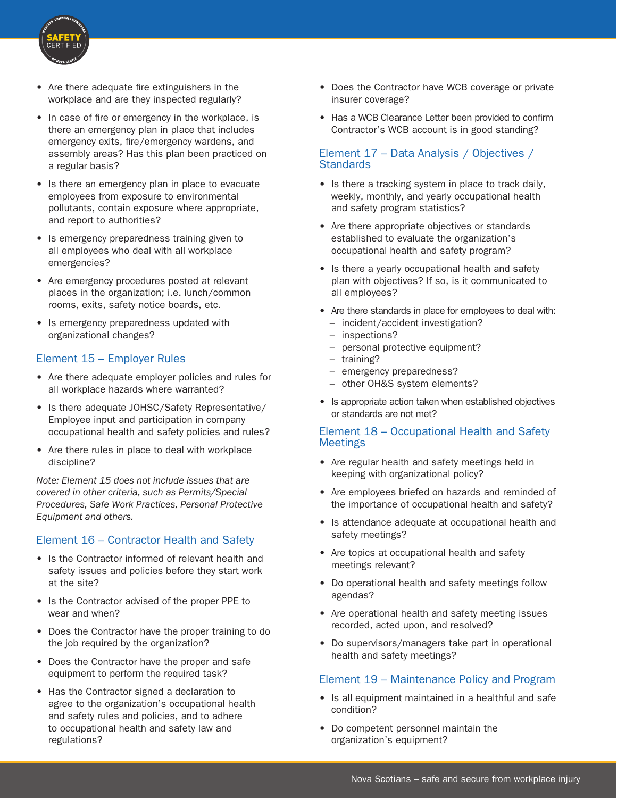

- Are there adequate fire extinguishers in the workplace and are they inspected regularly?
- In case of fire or emergency in the workplace, is there an emergency plan in place that includes emergency exits, fire/emergency wardens, and assembly areas? Has this plan been practiced on a regular basis?
- Is there an emergency plan in place to evacuate employees from exposure to environmental pollutants, contain exposure where appropriate, and report to authorities?
- Is emergency preparedness training given to all employees who deal with all workplace emergencies?
- Are emergency procedures posted at relevant places in the organization; i.e. lunch/common rooms, exits, safety notice boards, etc.
- Is emergency preparedness updated with organizational changes?

## Element 15 – Employer Rules

- Are there adequate employer policies and rules for all workplace hazards where warranted?
- Is there adequate JOHSC/Safety Representative/ Employee input and participation in company occupational health and safety policies and rules?
- Are there rules in place to deal with workplace discipline?

*Note: Element 15 does not include issues that are covered in other criteria, such as Permits/Special Procedures, Safe Work Practices, Personal Protective Equipment and others.*

## Element 16 – Contractor Health and Safety

- Is the Contractor informed of relevant health and safety issues and policies before they start work at the site?
- Is the Contractor advised of the proper PPE to wear and when?
- Does the Contractor have the proper training to do the job required by the organization?
- Does the Contractor have the proper and safe equipment to perform the required task?
- Has the Contractor signed a declaration to agree to the organization's occupational health and safety rules and policies, and to adhere to occupational health and safety law and regulations?
- Does the Contractor have WCB coverage or private insurer coverage?
- Has a WCB Clearance Letter been provided to confirm Contractor's WCB account is in good standing?

## Element 17 – Data Analysis / Objectives / **Standards**

- Is there a tracking system in place to track daily, weekly, monthly, and yearly occupational health and safety program statistics?
- Are there appropriate objectives or standards established to evaluate the organization's occupational health and safety program?
- Is there a yearly occupational health and safety plan with objectives? If so, is it communicated to all employees?
- Are there standards in place for employees to deal with: – incident/accident investigation?
	- inspections?
	- personal protective equipment?
	- training?
	- emergency preparedness?
	- other OH&S system elements?
- Is appropriate action taken when established objectives or standards are not met?

#### Element 18 – Occupational Health and Safety Meetings

- Are regular health and safety meetings held in keeping with organizational policy?
- Are employees briefed on hazards and reminded of the importance of occupational health and safety?
- Is attendance adequate at occupational health and safety meetings?
- Are topics at occupational health and safety meetings relevant?
- Do operational health and safety meetings follow agendas?
- Are operational health and safety meeting issues recorded, acted upon, and resolved?
- Do supervisors/managers take part in operational health and safety meetings?

## Element 19 – Maintenance Policy and Program

- Is all equipment maintained in a healthful and safe condition?
- Do competent personnel maintain the organization's equipment?